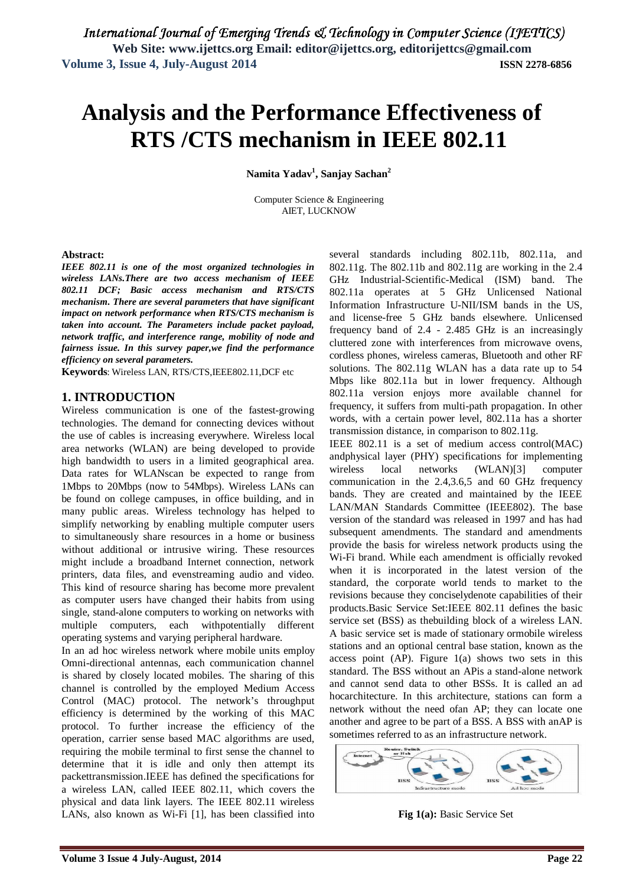# **Analysis and the Performance Effectiveness of RTS /CTS mechanism in IEEE 802.11**

**Namita Yadav<sup>1</sup> , Sanjay Sachan<sup>2</sup>**

Computer Science & Engineering AIET, LUCKNOW

## **Abstract:**

*IEEE 802.11 is one of the most organized technologies in wireless LANs.There are two access mechanism of IEEE 802.11 DCF; Basic access mechanism and RTS/CTS mechanism. There are several parameters that have significant impact on network performance when RTS/CTS mechanism is taken into account. The Parameters include packet payload, network traffic, and interference range, mobility of node and fairness issue. In this survey paper,we find the performance efficiency on several parameters.*

**Keywords**: Wireless LAN, RTS/CTS,IEEE802.11,DCF etc

## **1. INTRODUCTION**

Wireless communication is one of the fastest-growing technologies. The demand for connecting devices without the use of cables is increasing everywhere. Wireless local area networks (WLAN) are being developed to provide high bandwidth to users in a limited geographical area. Data rates for WLANscan be expected to range from 1Mbps to 20Mbps (now to 54Mbps). Wireless LANs can be found on college campuses, in office building, and in many public areas. Wireless technology has helped to simplify networking by enabling multiple computer users to simultaneously share resources in a home or business without additional or intrusive wiring. These resources might include a broadband Internet connection, network printers, data files, and evenstreaming audio and video. This kind of resource sharing has become more prevalent as computer users have changed their habits from using single, stand-alone computers to working on networks with multiple computers, each withpotentially different operating systems and varying peripheral hardware.

In an ad hoc wireless network where mobile units employ Omni-directional antennas, each communication channel is shared by closely located mobiles. The sharing of this channel is controlled by the employed Medium Access Control (MAC) protocol. The network's throughput efficiency is determined by the working of this MAC protocol. To further increase the efficiency of the operation, carrier sense based MAC algorithms are used, requiring the mobile terminal to first sense the channel to determine that it is idle and only then attempt its packettransmission.IEEE has defined the specifications for a wireless LAN, called IEEE 802.11, which covers the physical and data link layers. The IEEE 802.11 wireless LANs, also known as Wi-Fi [1], has been classified into several standards including 802.11b, 802.11a, and 802.11g. The 802.11b and 802.11g are working in the 2.4 GHz Industrial-Scientific-Medical (ISM) band. The 802.11a operates at 5 GHz Unlicensed National Information Infrastructure U-NII/ISM bands in the US, and license-free 5 GHz bands elsewhere. Unlicensed frequency band of 2.4 - 2.485 GHz is an increasingly cluttered zone with interferences from microwave ovens, cordless phones, wireless cameras, Bluetooth and other RF solutions. The 802.11g WLAN has a data rate up to 54 Mbps like 802.11a but in lower frequency. Although 802.11a version enjoys more available channel for frequency, it suffers from multi-path propagation. In other words, with a certain power level, 802.11a has a shorter transmission distance, in comparison to 802.11g.

IEEE 802.11 is a set of medium access control(MAC) andphysical layer (PHY) specifications for implementing wireless local networks (WLAN)[3] computer communication in the 2.4,3.6,5 and 60 GHz frequency bands. They are created and maintained by the IEEE LAN/MAN Standards Committee (IEEE802). The base version of the standard was released in 1997 and has had subsequent amendments. The standard and amendments provide the basis for wireless network products using the Wi-Fi brand. While each amendment is officially revoked when it is incorporated in the latest version of the standard, the corporate world tends to market to the revisions because they conciselydenote capabilities of their products.Basic Service Set:IEEE 802.11 defines the basic service set (BSS) as thebuilding block of a wireless LAN. A basic service set is made of stationary ormobile wireless stations and an optional central base station, known as the access point (AP). Figure 1(a) shows two sets in this standard. The BSS without an APis a stand-alone network and cannot send data to other BSSs. It is called an ad hocarchitecture. In this architecture, stations can form a network without the need ofan AP; they can locate one another and agree to be part of a BSS. A BSS with anAP is sometimes referred to as an infrastructure network.



**Fig 1(a):** Basic Service Set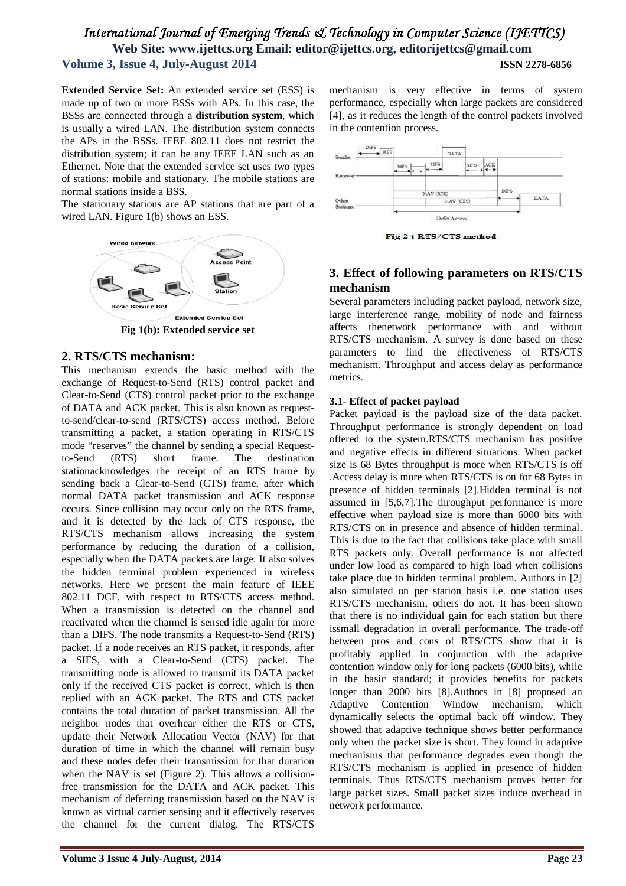**Extended Service Set:** An extended service set (ESS) is made up of two or more BSSs with APs. In this case, the BSSs are connected through a **distribution system***,* which is usually a wired LAN. The distribution system connects the APs in the BSSs. IEEE 802.11 does not restrict the distribution system; it can be any IEEE LAN such as an Ethernet. Note that the extended service set uses two types of stations: mobile and stationary. The mobile stations are normal stations inside a BSS.

The stationary stations are AP stations that are part of a wired LAN. Figure 1(b) shows an ESS.



**Fig 1(b): Extended service set**

## **2. RTS/CTS mechanism:**

This mechanism extends the basic method with the exchange of Request-to-Send (RTS) control packet and Clear-to-Send (CTS) control packet prior to the exchange of DATA and ACK packet. This is also known as requestto-send/clear-to-send (RTS/CTS) access method. Before transmitting a packet, a station operating in RTS/CTS mode "reserves" the channel by sending a special Requestto-Send (RTS) short frame. The destination stationacknowledges the receipt of an RTS frame by sending back a Clear-to-Send (CTS) frame, after which normal DATA packet transmission and ACK response occurs. Since collision may occur only on the RTS frame, and it is detected by the lack of CTS response, the RTS/CTS mechanism allows increasing the system performance by reducing the duration of a collision, especially when the DATA packets are large. It also solves the hidden terminal problem experienced in wireless networks. Here we present the main feature of IEEE 802.11 DCF, with respect to RTS/CTS access method. When a transmission is detected on the channel and reactivated when the channel is sensed idle again for more than a DIFS. The node transmits a Request-to-Send (RTS) packet. If a node receives an RTS packet, it responds, after a SIFS, with a Clear-to-Send (CTS) packet. The transmitting node is allowed to transmit its DATA packet only if the received CTS packet is correct, which is then replied with an ACK packet. The RTS and CTS packet contains the total duration of packet transmission. All the neighbor nodes that overhear either the RTS or CTS, update their Network Allocation Vector (NAV) for that duration of time in which the channel will remain busy and these nodes defer their transmission for that duration when the NAV is set (Figure 2). This allows a collisionfree transmission for the DATA and ACK packet. This mechanism of deferring transmission based on the NAV is known as virtual carrier sensing and it effectively reserves the channel for the current dialog. The RTS/CTS mechanism is very effective in terms of system performance, especially when large packets are considered [4], as it reduces the length of the control packets involved in the contention process.



Fig 2 : RTS/CTS method

# **3. Effect of following parameters on RTS/CTS mechanism**

Several parameters including packet payload, network size, large interference range, mobility of node and fairness affects thenetwork performance with and without RTS/CTS mechanism. A survey is done based on these parameters to find the effectiveness of RTS/CTS mechanism. Throughput and access delay as performance metrics.

## **3.1- Effect of packet payload**

Packet payload is the payload size of the data packet. Throughput performance is strongly dependent on load offered to the system.RTS/CTS mechanism has positive and negative effects in different situations. When packet size is 68 Bytes throughput is more when RTS/CTS is off .Access delay is more when RTS/CTS is on for 68 Bytes in presence of hidden terminals [2].Hidden terminal is not assumed in [5,6,7].The throughput performance is more effective when payload size is more than 6000 bits with RTS/CTS on in presence and absence of hidden terminal. This is due to the fact that collisions take place with small RTS packets only. Overall performance is not affected under low load as compared to high load when collisions take place due to hidden terminal problem. Authors in [2] also simulated on per station basis i.e. one station uses RTS/CTS mechanism, others do not. It has been shown that there is no individual gain for each station but there issmall degradation in overall performance. The trade-off between pros and cons of RTS/CTS show that it is profitably applied in conjunction with the adaptive contention window only for long packets (6000 bits), while in the basic standard; it provides benefits for packets longer than 2000 bits [8].Authors in [8] proposed an Adaptive Contention Window mechanism, which dynamically selects the optimal back off window. They showed that adaptive technique shows better performance only when the packet size is short. They found in adaptive mechanisms that performance degrades even though the RTS/CTS mechanism is applied in presence of hidden terminals. Thus RTS/CTS mechanism proves better for large packet sizes. Small packet sizes induce overhead in network performance.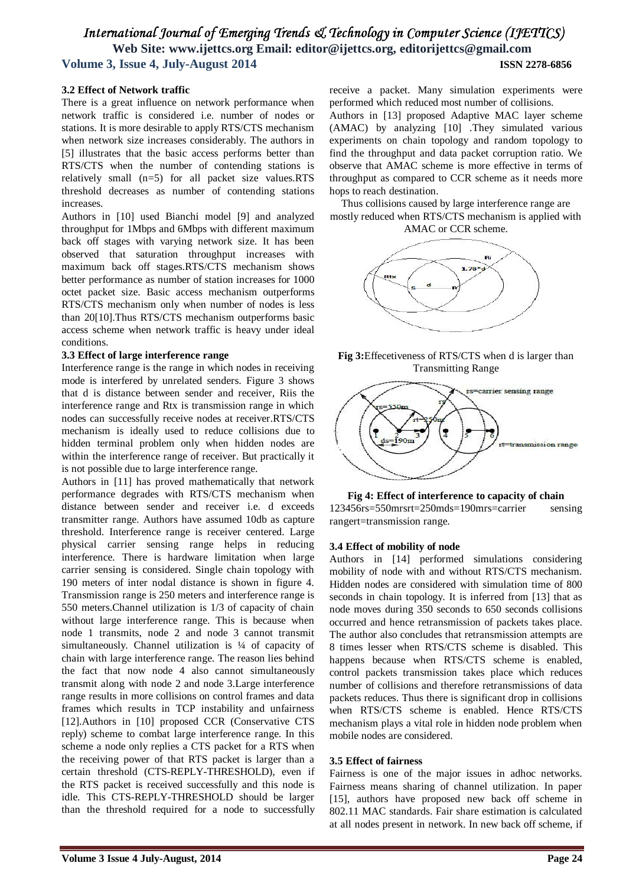#### **3.2 Effect of Network traffic**

There is a great influence on network performance when network traffic is considered i.e. number of nodes or stations. It is more desirable to apply RTS/CTS mechanism when network size increases considerably. The authors in [5] illustrates that the basic access performs better than RTS/CTS when the number of contending stations is relatively small (n=5) for all packet size values.RTS threshold decreases as number of contending stations increases.

Authors in [10] used Bianchi model [9] and analyzed throughput for 1Mbps and 6Mbps with different maximum back off stages with varying network size. It has been observed that saturation throughput increases with maximum back off stages.RTS/CTS mechanism shows better performance as number of station increases for 1000 octet packet size. Basic access mechanism outperforms RTS/CTS mechanism only when number of nodes is less than 20[10].Thus RTS/CTS mechanism outperforms basic access scheme when network traffic is heavy under ideal conditions.

#### **3.3 Effect of large interference range**

Interference range is the range in which nodes in receiving mode is interfered by unrelated senders. Figure 3 shows that d is distance between sender and receiver, Riis the interference range and Rtx is transmission range in which nodes can successfully receive nodes at receiver.RTS/CTS mechanism is ideally used to reduce collisions due to hidden terminal problem only when hidden nodes are within the interference range of receiver. But practically it is not possible due to large interference range.

Authors in [11] has proved mathematically that network performance degrades with RTS/CTS mechanism when distance between sender and receiver i.e. d exceeds transmitter range. Authors have assumed 10db as capture threshold. Interference range is receiver centered. Large physical carrier sensing range helps in reducing interference. There is hardware limitation when large carrier sensing is considered. Single chain topology with 190 meters of inter nodal distance is shown in figure 4. Transmission range is 250 meters and interference range is 550 meters.Channel utilization is 1/3 of capacity of chain without large interference range. This is because when node 1 transmits, node 2 and node 3 cannot transmit simultaneously. Channel utilization is 1/4 of capacity of chain with large interference range. The reason lies behind the fact that now node 4 also cannot simultaneously transmit along with node 2 and node 3.Large interference range results in more collisions on control frames and data frames which results in TCP instability and unfairness [12].Authors in [10] proposed CCR (Conservative CTS reply) scheme to combat large interference range. In this scheme a node only replies a CTS packet for a RTS when the receiving power of that RTS packet is larger than a certain threshold (CTS-REPLY-THRESHOLD), even if the RTS packet is received successfully and this node is idle. This CTS-REPLY-THRESHOLD should be larger than the threshold required for a node to successfully

receive a packet. Many simulation experiments were performed which reduced most number of collisions.

Authors in [13] proposed Adaptive MAC layer scheme (AMAC) by analyzing [10] .They simulated various experiments on chain topology and random topology to find the throughput and data packet corruption ratio. We observe that AMAC scheme is more effective in terms of throughput as compared to CCR scheme as it needs more hops to reach destination.

Thus collisions caused by large interference range are mostly reduced when RTS/CTS mechanism is applied with AMAC or CCR scheme.







**Fig 4: Effect of interference to capacity of chain** 123456rs=550mrsrt=250mds=190mrs=carrier sensing rangert=transmission range.

#### **3.4 Effect of mobility of node**

Authors in [14] performed simulations considering mobility of node with and without RTS/CTS mechanism. Hidden nodes are considered with simulation time of 800 seconds in chain topology. It is inferred from [13] that as node moves during 350 seconds to 650 seconds collisions occurred and hence retransmission of packets takes place. The author also concludes that retransmission attempts are 8 times lesser when RTS/CTS scheme is disabled. This happens because when RTS/CTS scheme is enabled, control packets transmission takes place which reduces number of collisions and therefore retransmissions of data packets reduces. Thus there is significant drop in collisions when RTS/CTS scheme is enabled. Hence RTS/CTS mechanism plays a vital role in hidden node problem when mobile nodes are considered.

#### **3.5 Effect of fairness**

Fairness is one of the major issues in adhoc networks. Fairness means sharing of channel utilization. In paper [15], authors have proposed new back off scheme in 802.11 MAC standards. Fair share estimation is calculated at all nodes present in network. In new back off scheme, if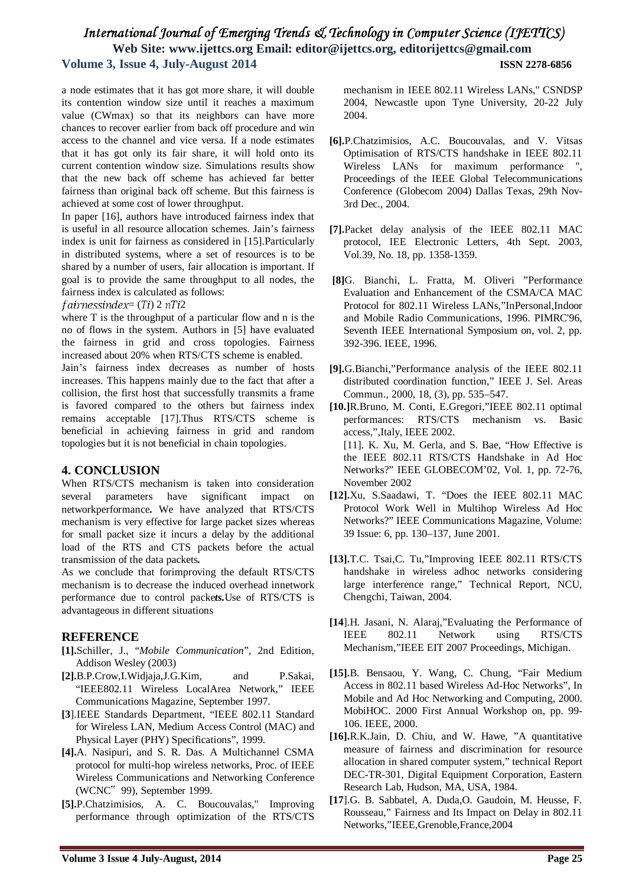a node estimates that it has got more share, it will double its contention window size until it reaches a maximum value (CWmax) so that its neighbors can have more chances to recover earlier from back off procedure and win access to the channel and vice versa. If a node estimates that it has got only its fair share, it will hold onto its current contention window size. Simulations results show that the new back off scheme has achieved far better fairness than original back off scheme. But this fairness is achieved at some cost of lower throughput.

In paper [16], authors have introduced fairness index that is useful in all resource allocation schemes. Jain's fairness index is unit for fairness as considered in [15].Particularly in distributed systems, where a set of resources is to be shared by a number of users, fair allocation is important. If goal is to provide the same throughput to all nodes, the fairness index is calculated as follows:

#### $fairness index = (Ti) 2 nTi2$

where T is the throughput of a particular flow and n is the no of flows in the system. Authors in [5] have evaluated the fairness in grid and cross topologies. Fairness increased about 20% when RTS/CTS scheme is enabled.

Jain's fairness index decreases as number of hosts increases. This happens mainly due to the fact that after a collision, the first host that successfully transmits a frame is favored compared to the others but fairness index remains acceptable [17].Thus RTS/CTS scheme is beneficial in achieving fairness in grid and random topologies but it is not beneficial in chain topologies.

## **4. CONCLUSION**

When RTS/CTS mechanism is taken into consideration several parameters have significant impact on networkperformance**.** We have analyzed that RTS/CTS mechanism is very effective for large packet sizes whereas for small packet size it incurs a delay by the additional load of the RTS and CTS packets before the actual transmission of the data packets*.* 

As we conclude that forimproving the default RTS/CTS mechanism is to decrease the induced overhead innetwork performance due to control packe*ts.*Use of RTS/CTS is advantageous in different situations

# **REFERENCE**

- **[1].**Schiller, J., "*Mobile Communication*", 2nd Edition, Addison Wesley (2003)
- **[2].**B.P.Crow,I.Widjaja,J.G.Kim, and P.Sakai, "IEEE802.11 Wireless LocalArea Network," IEEE Communications Magazine, September 1997.
- **[3**].IEEE Standards Department, "IEEE 802.11 Standard for Wireless LAN, Medium Access Control (MAC) and Physical Layer (PHY) Specifications", 1999.
- **[4].**A. Nasipuri, and S. R. Das. A Multichannel CSMA protocol for multi-hop wireless networks, Proc. of IEEE Wireless Communications and Networking Conference (WCNC" 99), September 1999.
- **[5].**P.Chatzimisios, A. C. Boucouvalas,'' Improving performance through optimization of the RTS/CTS

mechanism in IEEE 802.11 Wireless LANs,'' CSNDSP 2004, Newcastle upon Tyne University, 20-22 July 2004.

- **[6].**P.Chatzimisios, A.C. Boucouvalas, and V. Vitsas Optimisation of RTS/CTS handshake in IEEE 802.11 Wireless LANs for maximum performance '', Proceedings of the IEEE Global Telecommunications Conference (Globecom 2004) Dallas Texas, 29th Nov-3rd Dec., 2004.
- **[7].**Packet delay analysis of the IEEE 802.11 MAC protocol, IEE Electronic Letters, 4th Sept. 2003, Vol.39, No. 18, pp. 1358-1359.
- **[8]**G. Bianchi, L. Fratta, M. Oliveri "Performance Evaluation and Enhancement of the CSMA/CA MAC Protocol for 802.11 Wireless LANs,"InPersonal,Indoor and Mobile Radio Communications, 1996. PIMRC'96, Seventh IEEE International Symposium on, vol. 2, pp. 392-396. IEEE, 1996.
- **[9].**G.Bianchi,"Performance analysis of the IEEE 802.11 distributed coordination function," IEEE J. Sel. Areas Commun., 2000, 18, (3), pp. 535–547.
- **[10.]**R.Bruno, M. Conti, E.Gregori,"IEEE 802.11 optimal performances: RTS/CTS mechanism vs. Basic access,",Italy, IEEE 2002. [11]. K. Xu. M. Gerla, and S. Bae, "How Effective is the IEEE 802.11 RTS/CTS Handshake in Ad Hoc Networks?" IEEE GLOBECOM'02, Vol. 1, pp. 72-76, November 2002
- **[12].**Xu, S.Saadawi, T. "Does the IEEE 802.11 MAC Protocol Work Well in Multihop Wireless Ad Hoc Networks?" IEEE Communications Magazine, Volume: 39 Issue: 6, pp. 130–137, June 2001.
- **[13].**T.C. Tsai,C. Tu,"Improving IEEE 802.11 RTS/CTS handshake in wireless adhoc networks considering large interference range," Technical Report, NCU, Chengchi, Taiwan, 2004.
- **[14**].H. Jasani, N. Alaraj,"Evaluating the Performance of IEEE 802.11 Network using RTS/CTS Mechanism,"IEEE EIT 2007 Proceedings, Michigan.
- **[15].**B. Bensaou, Y. Wang, C. Chung, "Fair Medium Access in 802.11 based Wireless Ad-Hoc Networks", In Mobile and Ad Hoc Networking and Computing, 2000. MobiHOC. 2000 First Annual Workshop on, pp. 99- 106. IEEE, 2000.
- **[16].**R.K.Jain, D. Chiu, and W. Hawe, "A quantitative measure of fairness and discrimination for resource allocation in shared computer system," technical Report DEC-TR-301, Digital Equipment Corporation, Eastern Research Lab, Hudson, MA, USA, 1984.
- **[17**].G. B. Sabbatel, A. Duda,O. Gaudoin, M. Heusse, F. Rousseau," Fairness and Its Impact on Delay in 802.11 Networks,"IEEE,Grenoble,France,2004